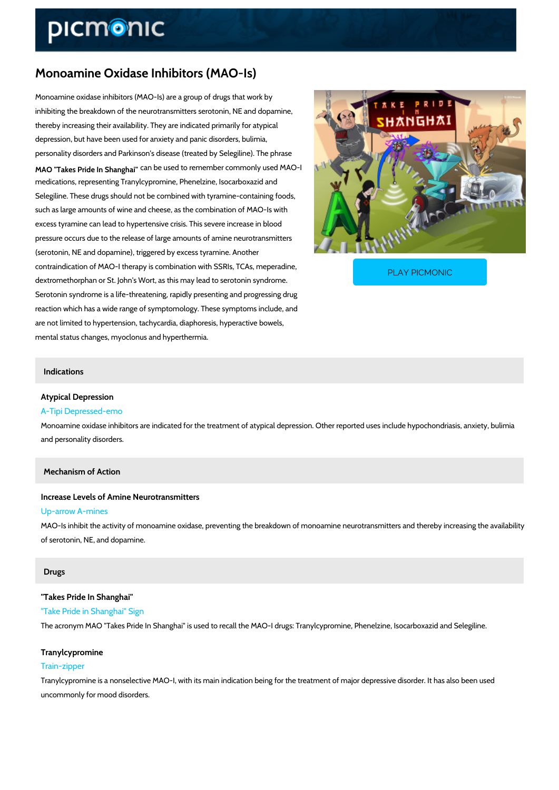# Monoamine Oxidase Inhibitors (MAO-Is)

Monoamine oxidase inhibitors (MAO-Is) are a group of drugs that work by inhibiting the breakdown of the neurotransmitters serotonin, NE and dopamine, thereby increasing their availability. They are indicated primarily for atypical depression, but have been used for anxiety and panic disorders, bulimia, personality disorders and Parkinson's disease (treated by Selegiline). The phrase MAO "Takes Pride In <sup>2</sup>Shanghangd to remember commonly used MAO-I medications, representing Tranylcypromine, Phenelzine, Isocarboxazid and Selegiline. These drugs should not be combined with tyramine-containing foods, such as large amounts of wine and cheese, as the combination of MAO-Is with excess tyramine can lead to hypertensive crisis. This severe increase in blood pressure occurs due to the release of large amounts of amine neurotransmitters (serotonin, NE and dopamine), triggered by excess tyramine. Another

contraindication of MAO-I therapy is combination with SSI dextromethorphan or St. John's Wort, as this may lead to

PLAY PICMONIC

Serotonin syndrome is a life-threatening, rapidly presenting and progressing drug reaction which has a wide range of symptomology. These symptoms include, and are not limited to hypertension, tachycardia, diaphoresis, hyperactive bowels, mental status changes, myoclonus and hyperthermia.

#### Indications

## Atypical Depression

### A-Tipi Depressed-emo

Monoamine oxidase inhibitors are indicated for the treatment of atypical depression. Other re and personality disorders.

#### Mechanism of Action

Increase Levels of Amine Neurotransmitters Up-arrow A-mines MAO-Is inhibit the activity of monoamine oxidase, preventing the breakdown of monoamine neurotransmitters and the activity of monoamine neurotransmitters and the activity of monoamine the availability of the availability o of serotonin, NE, and dopamine.

#### Drugs

"Takes Pride In Shanghai" "Take Pride in Shanghai" Sign The acronym MAO "Takes Pride In Shanghai" is used to recall the MAO-I drugs: Tranylcypromi

#### Tranylcypromine

#### Train-zipper

Tranylcypromine is a nonselective MAO-I, with its main indication being for the treatment of m uncommonly for mood disorders.